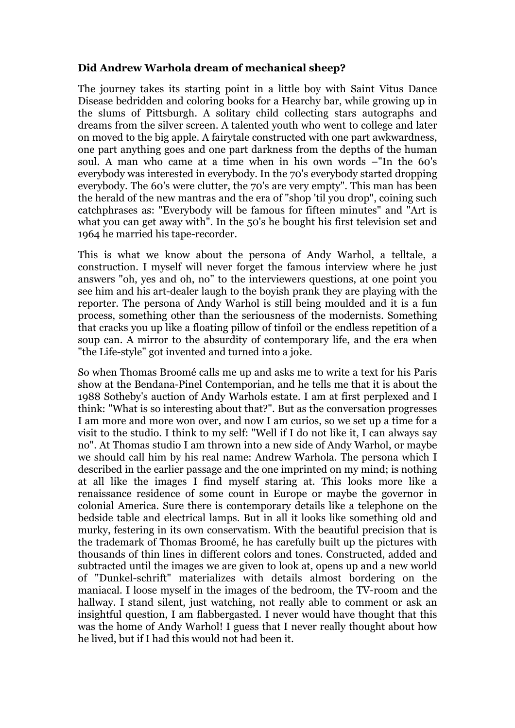## **Did Andrew Warhola dream of mechanical sheep?**

The journey takes its starting point in a little boy with Saint Vitus Dance Disease bedridden and coloring books for a Hearchy bar, while growing up in the slums of Pittsburgh. A solitary child collecting stars autographs and dreams from the silver screen. A talented youth who went to college and later on moved to the big apple. A fairytale constructed with one part awkwardness, one part anything goes and one part darkness from the depths of the human soul. A man who came at a time when in his own words –"In the 60's everybody was interested in everybody. In the 70's everybody started dropping everybody. The 60's were clutter, the 70's are very empty". This man has been the herald of the new mantras and the era of "shop 'til you drop", coining such catchphrases as: "Everybody will be famous for fifteen minutes" and "Art is what you can get away with". In the 50's he bought his first television set and 1964 he married his tape-recorder.

This is what we know about the persona of Andy Warhol, a telltale, a construction. I myself will never forget the famous interview where he just answers "oh, yes and oh, no" to the interviewers questions, at one point you see him and his art-dealer laugh to the boyish prank they are playing with the reporter. The persona of Andy Warhol is still being moulded and it is a fun process, something other than the seriousness of the modernists. Something that cracks you up like a floating pillow of tinfoil or the endless repetition of a soup can. A mirror to the absurdity of contemporary life, and the era when "the Life-style" got invented and turned into a joke.

So when Thomas Broomé calls me up and asks me to write a text for his Paris show at the Bendana-Pinel Contemporian, and he tells me that it is about the 1988 Sotheby's auction of Andy Warhols estate. I am at first perplexed and I think: "What is so interesting about that?". But as the conversation progresses I am more and more won over, and now I am curios, so we set up a time for a visit to the studio. I think to my self: "Well if I do not like it, I can always say no". At Thomas studio I am thrown into a new side of Andy Warhol, or maybe we should call him by his real name: Andrew Warhola. The persona which I described in the earlier passage and the one imprinted on my mind; is nothing at all like the images I find myself staring at. This looks more like a renaissance residence of some count in Europe or maybe the governor in colonial America. Sure there is contemporary details like a telephone on the bedside table and electrical lamps. But in all it looks like something old and murky, festering in its own conservatism. With the beautiful precision that is the trademark of Thomas Broomé, he has carefully built up the pictures with thousands of thin lines in different colors and tones. Constructed, added and subtracted until the images we are given to look at, opens up and a new world of "Dunkel-schrift" materializes with details almost bordering on the maniacal. I loose myself in the images of the bedroom, the TV-room and the hallway. I stand silent, just watching, not really able to comment or ask an insightful question, I am flabbergasted. I never would have thought that this was the home of Andy Warhol! I guess that I never really thought about how he lived, but if I had this would not had been it.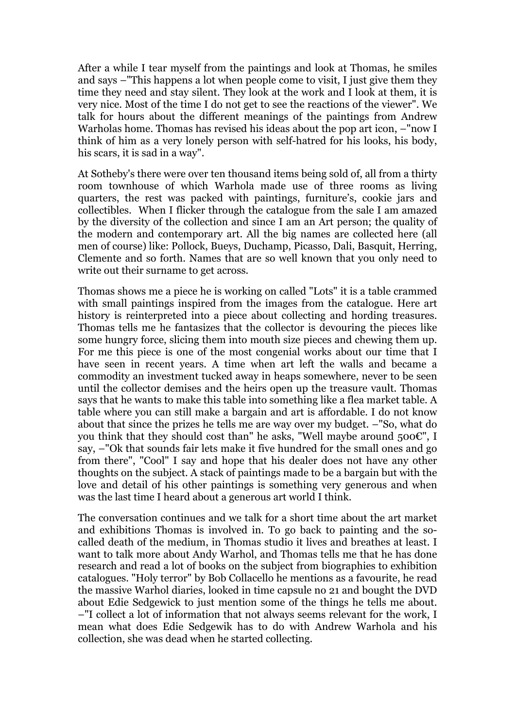After a while I tear myself from the paintings and look at Thomas, he smiles and says –"This happens a lot when people come to visit, I just give them they time they need and stay silent. They look at the work and I look at them, it is very nice. Most of the time I do not get to see the reactions of the viewer". We talk for hours about the different meanings of the paintings from Andrew Warholas home. Thomas has revised his ideas about the pop art icon, –"now I think of him as a very lonely person with self-hatred for his looks, his body, his scars, it is sad in a way".

At Sotheby's there were over ten thousand items being sold of, all from a thirty room townhouse of which Warhola made use of three rooms as living quarters, the rest was packed with paintings, furniture's, cookie jars and collectibles. When I flicker through the catalogue from the sale I am amazed by the diversity of the collection and since I am an Art person; the quality of the modern and contemporary art. All the big names are collected here (all men of course) like: Pollock, Bueys, Duchamp, Picasso, Dali, Basquit, Herring, Clemente and so forth. Names that are so well known that you only need to write out their surname to get across.

Thomas shows me a piece he is working on called "Lots" it is a table crammed with small paintings inspired from the images from the catalogue. Here art history is reinterpreted into a piece about collecting and hording treasures. Thomas tells me he fantasizes that the collector is devouring the pieces like some hungry force, slicing them into mouth size pieces and chewing them up. For me this piece is one of the most congenial works about our time that I have seen in recent years. A time when art left the walls and became a commodity an investment tucked away in heaps somewhere, never to be seen until the collector demises and the heirs open up the treasure vault. Thomas says that he wants to make this table into something like a flea market table. A table where you can still make a bargain and art is affordable. I do not know about that since the prizes he tells me are way over my budget. –"So, what do you think that they should cost than" he asks, "Well maybe around 500€", I say, –"Ok that sounds fair lets make it five hundred for the small ones and go from there", "Cool" I say and hope that his dealer does not have any other thoughts on the subject. A stack of paintings made to be a bargain but with the love and detail of his other paintings is something very generous and when was the last time I heard about a generous art world I think.

The conversation continues and we talk for a short time about the art market and exhibitions Thomas is involved in. To go back to painting and the socalled death of the medium, in Thomas studio it lives and breathes at least. I want to talk more about Andy Warhol, and Thomas tells me that he has done research and read a lot of books on the subject from biographies to exhibition catalogues. "Holy terror" by Bob Collacello he mentions as a favourite, he read the massive Warhol diaries, looked in time capsule no 21 and bought the DVD about Edie Sedgewick to just mention some of the things he tells me about. –"I collect a lot of information that not always seems relevant for the work, I mean what does Edie Sedgewik has to do with Andrew Warhola and his collection, she was dead when he started collecting.